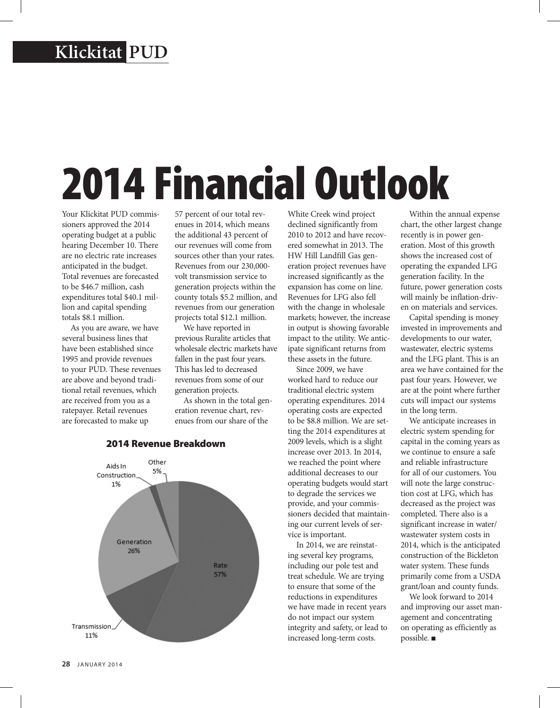## **Klickitat PUD**

## 2014 Financial Outlook

Your Klickitat PUD commissioners approved the 2014 operating budget at a public hearing December 10. There are no electric rate increases anticipated in the budget. Total revenues are forecasted to be \$46.7 million, cash expenditures total \$40.1 million and capital spending totals \$8.1 million.

As you are aware, we have several business lines that have been established since 1995 and provide revenues to your PUD. These revenues are above and beyond traditional retail revenues, which are received from you as a ratepayer. Retail revenues are forecasted to make up

57 percent of our total revenues in 2014, which means the additional 43 percent of our revenues will come from sources other than your rates. Revenues from our 230,000 volt transmission service to generation projects within the county totals \$5.2 million, and revenues from our generation projects total \$12.1 million.

We have reported in previous Ruralite articles that wholesale electric markets have fallen in the past four years. This has led to decreased revenues from some of our generation projects.

As shown in the total generation revenue chart, revenues from our share of the

White Creek wind project declined significantly from 2010 to 2012 and have recovered somewhat in 2013. The HW Hill Landfill Gas generation project revenues have increased significantly as the expansion has come on line. Revenues for LFG also fell with the change in wholesale markets; however, the increase in output is showing favorable impact to the utility. We anticipate significant returns from these assets in the future.

Since 2009, we have worked hard to reduce our traditional electric system operating expenditures. 2014 operating costs are expected to be \$8.8 million. We are setting the 2014 expenditures at 2009 levels, which is a slight increase over 2013. In 2014, we reached the point where additional decreases to our operating budgets would start to degrade the services we provide, and your commissioners decided that maintaining our current levels of service is important.

In 2014, we are reinstating several key programs, including our pole test and treat schedule. We are trying to ensure that some of the reductions in expenditures we have made in recent years do not impact our system integrity and safety, or lead to increased long-term costs.

Within the annual expense chart, the other largest change recently is in power generation. Most of this growth shows the increased cost of operating the expanded LFG generation facility. In the future, power generation costs will mainly be inflation-driven on materials and services.

Capital spending is money invested in improvements and developments to our water, wastewater, electric systems and the LFG plant. This is an area we have contained for the past four years. However, we are at the point where further cuts will impact our systems in the long term.

We anticipate increases in electric system spending for capital in the coming years as we continue to ensure a safe and reliable infrastructure for all of our customers. You will note the large construction cost at LFG, which has decreased as the project was completed. There also is a significant increase in water/ wastewater system costs in 2014, which is the anticipated construction of the Bickleton water system. These funds primarily come from a USDA grant/loan and county funds.

We look forward to 2014 and improving our asset management and concentrating on operating as efficiently as possible.  $\blacksquare$ 

## Other Aids In 5% Construction 1% Generation 26% Rate 57% Transmission 11%

## 2014 Revenue Breakdown